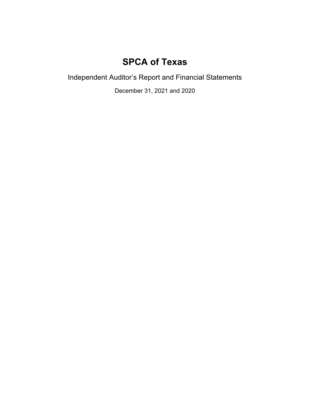Independent Auditor's Report and Financial Statements

December 31, 2021 and 2020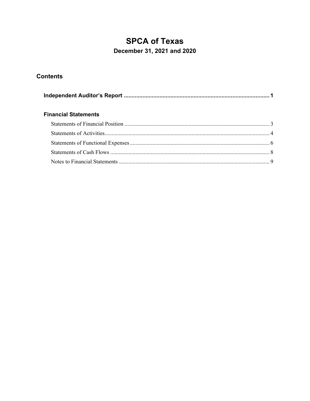# **SPCA of Texas** December 31, 2021 and 2020

### **Contents**

| <b>Financial Statements</b> |  |
|-----------------------------|--|
|                             |  |
|                             |  |
|                             |  |
|                             |  |
|                             |  |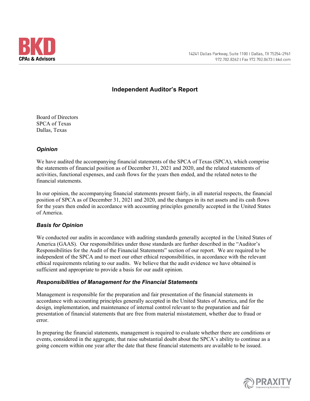

### **Independent Auditor's Report**

Board of Directors SPCA of Texas Dallas, Texas

### *Opinion*

We have audited the accompanying financial statements of the SPCA of Texas (SPCA), which comprise the statements of financial position as of December 31, 2021 and 2020, and the related statements of activities, functional expenses, and cash flows for the years then ended, and the related notes to the financial statements.

In our opinion, the accompanying financial statements present fairly, in all material respects, the financial position of SPCA as of December 31, 2021 and 2020, and the changes in its net assets and its cash flows for the years then ended in accordance with accounting principles generally accepted in the United States of America.

#### *Basis for Opinion*

We conducted our audits in accordance with auditing standards generally accepted in the United States of America (GAAS). Our responsibilities under those standards are further described in the "Auditor's Responsibilities for the Audit of the Financial Statements" section of our report. We are required to be independent of the SPCA and to meet our other ethical responsibilities, in accordance with the relevant ethical requirements relating to our audits. We believe that the audit evidence we have obtained is sufficient and appropriate to provide a basis for our audit opinion.

#### *Responsibilities of Management for the Financial Statements*

Management is responsible for the preparation and fair presentation of the financial statements in accordance with accounting principles generally accepted in the United States of America, and for the design, implementation, and maintenance of internal control relevant to the preparation and fair presentation of financial statements that are free from material misstatement, whether due to fraud or error.

In preparing the financial statements, management is required to evaluate whether there are conditions or events, considered in the aggregate, that raise substantial doubt about the SPCA's ability to continue as a going concern within one year after the date that these financial statements are available to be issued.

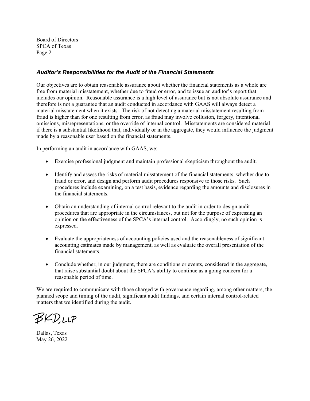Board of Directors SPCA of Texas Page 2

#### *Auditor's Responsibilities for the Audit of the Financial Statements*

Our objectives are to obtain reasonable assurance about whether the financial statements as a whole are free from material misstatement, whether due to fraud or error, and to issue an auditor's report that includes our opinion. Reasonable assurance is a high level of assurance but is not absolute assurance and therefore is not a guarantee that an audit conducted in accordance with GAAS will always detect a material misstatement when it exists. The risk of not detecting a material misstatement resulting from fraud is higher than for one resulting from error, as fraud may involve collusion, forgery, intentional omissions, misrepresentations, or the override of internal control. Misstatements are considered material if there is a substantial likelihood that, individually or in the aggregate, they would influence the judgment made by a reasonable user based on the financial statements.

In performing an audit in accordance with GAAS, we:

- Exercise professional judgment and maintain professional skepticism throughout the audit.
- Identify and assess the risks of material misstatement of the financial statements, whether due to fraud or error, and design and perform audit procedures responsive to those risks. Such procedures include examining, on a test basis, evidence regarding the amounts and disclosures in the financial statements.
- Obtain an understanding of internal control relevant to the audit in order to design audit procedures that are appropriate in the circumstances, but not for the purpose of expressing an opinion on the effectiveness of the SPCA's internal control. Accordingly, no such opinion is expressed.
- Evaluate the appropriateness of accounting policies used and the reasonableness of significant accounting estimates made by management, as well as evaluate the overall presentation of the financial statements.
- Conclude whether, in our judgment, there are conditions or events, considered in the aggregate, that raise substantial doubt about the SPCA's ability to continue as a going concern for a reasonable period of time.

We are required to communicate with those charged with governance regarding, among other matters, the planned scope and timing of the audit, significant audit findings, and certain internal control-related matters that we identified during the audit.

BKD.LLP

Dallas, Texas May 26, 2022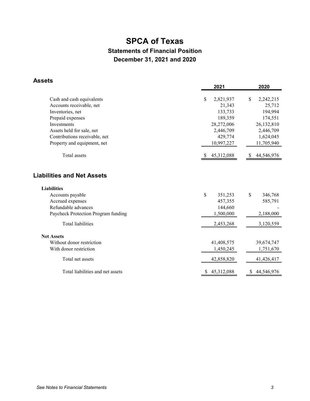# **SPCA of Texas Statements of Financial Position December 31, 2021 and 2020**

#### **Assets**

|                                                                                                                        | 2021                                | 2020                       |
|------------------------------------------------------------------------------------------------------------------------|-------------------------------------|----------------------------|
| Cash and cash equivalents                                                                                              | \$<br>2,821,937                     | \$<br>2,242,215            |
| Accounts receivable, net                                                                                               | 21,343                              | 25,712                     |
| Inventories, net                                                                                                       | 133,733                             | 194,994                    |
| Prepaid expenses                                                                                                       | 189,359                             | 174,551                    |
| Investments                                                                                                            | 28,272,006                          | 26,132,810                 |
| Assets held for sale, net                                                                                              | 2,446,709                           | 2,446,709                  |
| Contributions receivable, net                                                                                          | 429,774                             | 1,624,045                  |
| Property and equipment, net                                                                                            | 10,997,227                          | 11,705,940                 |
| Total assets                                                                                                           | 45,312,088                          | 44,546,976<br><sup>8</sup> |
| <b>Liabilities and Net Assets</b><br><b>Liabilities</b><br>Accounts payable<br>Accrued expenses<br>Refundable advances | \$<br>351,253<br>457,355<br>144,660 | \$<br>346,768<br>585,791   |
| Paycheck Protection Program funding                                                                                    | 1,500,000                           | 2,188,000                  |
| <b>Total liabilities</b>                                                                                               | 2,453,268                           | 3,120,559                  |
| <b>Net Assets</b>                                                                                                      |                                     |                            |
| Without donor restriction                                                                                              | 41,408,575                          | 39,674,747                 |
| With donor restriction                                                                                                 | 1,450,245                           | 1,751,670                  |
| Total net assets                                                                                                       | 42,858,820                          | 41,426,417                 |
| Total liabilities and net assets                                                                                       | 45,312,088                          | 44,546,976<br>\$           |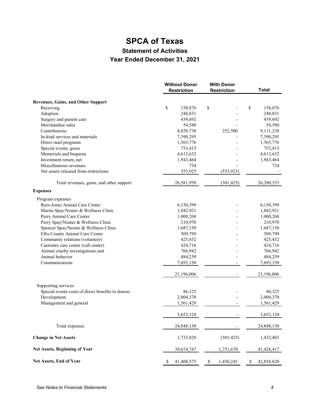# **SPCA of Texas Statement of Activities Year Ended December 31, 2021**

|                                                   | <b>Without Donor</b> | <b>With Donor</b>  |                             |
|---------------------------------------------------|----------------------|--------------------|-----------------------------|
|                                                   | <b>Restriction</b>   | <b>Restriction</b> | <b>Total</b>                |
| <b>Revenues, Gains, and Other Support</b>         |                      |                    |                             |
| Receiving                                         | \$<br>158,876        | \$                 | \$<br>158,876               |
| Adoption                                          | 248,831              |                    | 248,831                     |
| Surgery and patient care                          | 439,692              |                    | 439,692                     |
| Merchandise sales                                 | 54,580               |                    | 54,580                      |
| Contributions                                     | 8,858,738            | 252,500            | 9,111,238                   |
| In-kind services and materials                    | 7,390,295            |                    | 7,390,295                   |
| Direct mail programs                              | 1,565,776            |                    | 1,565,776                   |
| Special events, gross                             | 753,415              |                    | 753,415                     |
| Memorials and bequests                            | 4,613,632            |                    | 4,613,632                   |
| Investment return, net                            | 1,943,464            |                    | 1,943,464                   |
| Miscellaneous revenues                            | 734                  |                    | 734                         |
| Net assets released from restrictions             | 553,925              | (553, 925)         |                             |
| Total revenues, gains, and other support          | 26,581,958           | (301, 425)         | 26,280,533                  |
| <b>Expenses</b>                                   |                      |                    |                             |
| Program expenses                                  |                      |                    |                             |
| Rees-Jones Animal Care Center                     | 6,150,399            |                    | 6,150,399                   |
| Martin Spay/Neuter & Wellness Clinic              | 1,842,921            |                    | 1,842,921                   |
| Perry Animal Care Center                          | 1,000,268            |                    | 1,000,268                   |
| Perry Spay/Neuter & Wellness Clinic               | 210,970              |                    | 210,970                     |
| Spencer Spay/Neuter & Wellness Clinic             | 1,687,150            |                    | 1,687,150                   |
| Ellis County Animal Care Center                   | 509,799              |                    | 509,799                     |
| Community relations (volunteer)                   | 425,432              |                    | 425,432                     |
| Customer care center (call center)                | 424,716              |                    | 424,716                     |
| Animal cruelty investigations unit                | 766,942              |                    | 766,942                     |
| Animal behavior                                   | 484,259              |                    | 484,259                     |
| Communications                                    | 7,693,150            |                    | 7,693,150                   |
|                                                   | 21,196,006           |                    | 21,196,006                  |
| Supporting services                               |                      |                    |                             |
| Special events costs of direct benefits to donors | 86,325               |                    | 86,325                      |
| Development                                       | 2,004,370            |                    | 2,004,370                   |
| Management and general                            | 1,561,429            |                    | 1,561,429                   |
|                                                   | 3,652,124            |                    | 3,652,124                   |
| Total expenses                                    | 24,848,130           |                    | 24,848,130                  |
| <b>Change in Net Assets</b>                       | 1,733,828            | (301, 425)         | 1,432,403                   |
| Net Assets, Beginning of Year                     | 39,674,747           | 1,751,670          | 41,426,417                  |
| Net Assets, End of Year                           | \$<br>41,408,575     | \$<br>1,450,245    | 42,858,820<br><sup>\$</sup> |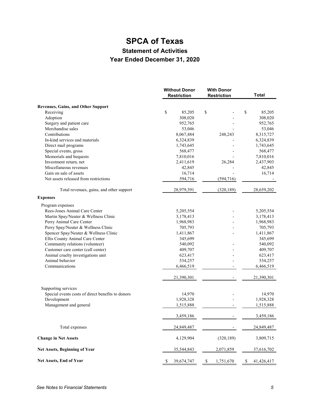# **SPCA of Texas Statement of Activities Year Ended December 31, 2020**

|                                                   | <b>Without Donor</b> | <b>With Donor</b>  |                  |
|---------------------------------------------------|----------------------|--------------------|------------------|
|                                                   | <b>Restriction</b>   | <b>Restriction</b> | <b>Total</b>     |
| <b>Revenues, Gains, and Other Support</b>         |                      |                    |                  |
| Receiving                                         | \$<br>85,205         | \$                 | \$<br>85,205     |
| Adoption                                          | 308,020              |                    | 308,020          |
| Surgery and patient care                          | 952,765              |                    | 952,765          |
| Merchandise sales                                 | 53,046               |                    | 53,046           |
| Contributions                                     | 8,067,484            | 248,243            | 8,315,727        |
| In-kind services and materials                    | 6,324,839            |                    | 6,324,839        |
| Direct mail programs                              | 1,743,645            |                    | 1,743,645        |
| Special events, gross                             | 568,477              |                    | 568,477          |
| Memorials and bequests                            | 7,810,016            |                    | 7,810,016        |
| Investment return, net                            | 2,411,619            | 26,284             | 2,437,903        |
| Miscellaneous revenues                            | 42,845               |                    | 42,845           |
| Gain on sale of assets                            | 16,714               |                    | 16,714           |
| Net assets released from restrictions             | 594,716              | (594, 716)         |                  |
|                                                   |                      |                    |                  |
| Total revenues, gains, and other support          | 28,979,391           | (320, 189)         | 28,659,202       |
| <b>Expenses</b>                                   |                      |                    |                  |
| Program expenses                                  |                      |                    |                  |
| Rees-Jones Animal Care Center                     | 5,205,554            |                    | 5,205,554        |
| Martin Spay/Neuter & Wellness Clinic              | 3,178,413            |                    | 3,178,413        |
| Perry Animal Care Center                          | 1,968,983            |                    | 1,968,983        |
| Perry Spay/Neuter & Wellness Clinic               | 705,793              |                    | 705,793          |
| Spencer Spay/Neuter & Wellness Clinic             | 1,411,867            |                    | 1,411,867        |
| Ellis County Animal Care Center                   | 345,699              |                    | 345,699          |
| Community relations (volunteer)                   | 540,092              |                    | 540,092          |
| Customer care center (call center)                | 409,707              |                    | 409,707          |
| Animal cruelty investigations unit                | 623,417              |                    | 623,417          |
| Animal behavior                                   | 534,257              |                    | 534,257          |
| Communications                                    | 6,466,519            |                    | 6,466,519        |
|                                                   | 21,390,301           |                    | 21,390,301       |
| Supporting services                               |                      |                    |                  |
| Special events costs of direct benefits to donors | 14,970               |                    | 14,970           |
| Development                                       | 1,928,328            |                    | 1,928,328        |
| Management and general                            | 1,515,888            |                    | 1,515,888        |
|                                                   | 3,459,186            |                    | 3,459,186        |
| Total expenses                                    | 24,849,487           |                    | 24,849,487       |
| <b>Change in Net Assets</b>                       | 4,129,904            | (320, 189)         | 3,809,715        |
| Net Assets, Beginning of Year                     | 35,544,843           | 2,071,859          | 37,616,702       |
| Net Assets, End of Year                           | 39,674,747<br>\$     | \$<br>1,751,670    | \$<br>41,426,417 |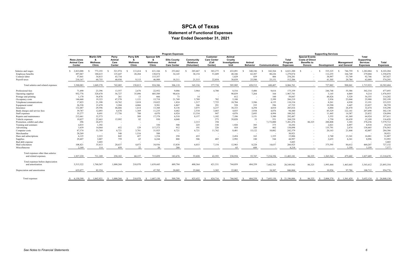### **Statement of Functional Expenses Year Ended December 31, 2021**

|                                     | <b>Program Expenses</b>                    |                                                     |                                          |                                             |                                                             |                                                     |                                              |                                                           |                                             |                           | <b>Supporting Services</b> |                                            |                                                                                        |                            |                           |                                                                  |                                 |
|-------------------------------------|--------------------------------------------|-----------------------------------------------------|------------------------------------------|---------------------------------------------|-------------------------------------------------------------|-----------------------------------------------------|----------------------------------------------|-----------------------------------------------------------|---------------------------------------------|---------------------------|----------------------------|--------------------------------------------|----------------------------------------------------------------------------------------|----------------------------|---------------------------|------------------------------------------------------------------|---------------------------------|
|                                     | Rees-Jones<br><b>Animal Care</b><br>Center | <b>Martin S/N</b><br>&<br>Wellness<br><b>Clinic</b> | Perry<br>Animal<br>Care<br><b>Center</b> | Perry S/N<br>&<br>Wellness<br><b>Clinic</b> | <b>Spencer S/N</b><br>&<br><b>Wellness</b><br><b>Clinic</b> | <b>Ellis County</b><br>Animal<br><b>Care Center</b> | Community<br><b>Relations</b><br>(Volunteer) | <b>Customer</b><br><b>Care Center</b><br>(Call<br>Center) | Animal<br>Cruelty<br>Investigations<br>Unit | Animal<br><b>Behavior</b> | Communications             | <b>Total</b><br>Program<br><b>Expenses</b> | <b>Special Events</b><br><b>Costs of Direct</b><br><b>Benefits to</b><br><b>Donors</b> | Development                | Management<br>and General | <b>Total</b><br>Supporting<br><b>Services</b><br><b>Expenses</b> | <b>Total</b><br><b>Expenses</b> |
| Salaries and wages                  | 2,823,008                                  | 773,193                                             | 521,974                                  | 113,414                                     | 631,166                                                     | 253,662                                             | 285,667                                      | 303,275                                                   | 433,091                                     | 340,186                   | 342,564                    | 6.821.200                                  |                                                                                        | 535,325                    | 746,759                   | 1,282,084                                                        | 8,103,284                       |
| Employee benefits                   | 497,067                                    | 180,615                                             | 135,447                                  | 28,284                                      | 130,874                                                     | 34,145                                              | 38,154                                       | 51,609                                                    | 40,346                                      | 62,307                    | 80,226                     | 1,279,074                                  |                                                                                        | 112,255                    | 166,749                   | 279,004                                                          | 1,558,078                       |
| Contract labor                      | 57,841                                     | 34,815                                              | 43,734                                   |                                             | 115,357                                                     |                                                     |                                              |                                                           | 1,629                                       | 439                       | 466                        | 254,281                                    |                                                                                        | 38,997                     | 53,749                    | 92,746                                                           | 347,027                         |
| Payroll taxes                       | 210,167                                    | 60.755                                              | 40,930                                   | 9,115                                       | 46.989                                                      | 18,311                                              | 21,515                                       | 22,854                                                    | 30.839                                      | 25,580                    | 25,151                     | 512,206                                    |                                                                                        | 41.305                     | 20,784                    | 62.089                                                           | 574,295                         |
| Total salaries and related expenses | 3.588.083                                  | 1,049,378                                           | 742,085                                  | 150,813                                     | 924,386                                                     | 306,118                                             | 345,336                                      | 377,738                                                   | 505,905                                     | 428,512                   | 448,407                    | 8,866,761                                  |                                                                                        | 727,882                    | 988,041                   | 1,715,923                                                        | 10,582,684                      |
| Professional fees                   | 71,490                                     | 23,396                                              | 13,557                                   | 2,676                                       | 22,952                                                      | 9,086                                               | 3,964                                        | 4,700                                                     | 8,516                                       | 5,406                     | 9,616                      | 175,359                                    |                                                                                        | 246,748                    | 55,586                    | 302,334                                                          | 477,693                         |
| Operating supplies                  | 952,776                                    | 328,670                                             | 56,727                                   | 35,096                                      | 405,589                                                     | 90,616                                              | $\sim$                                       |                                                           | 90,839                                      | 7,264                     | 164                        | 1,967,741                                  |                                                                                        | 3,145                      | 6,069                     | 9,214                                                            | 1,976,955                       |
| Postage and printing                | 1,170                                      | 56,878                                              | 261                                      | 13                                          | 666                                                         | 73                                                  | 14                                           | $\sim$                                                    | 612                                         |                           | 160                        | 59,847                                     |                                                                                        | 48,826                     | 5,529                     | 54,355                                                           | 114,202                         |
| Occupancy costs                     | 146,668                                    | 19,323                                              | 47,570                                   | 1,121                                       | 15,718                                                      | 21,749                                              | 5,789                                        | 782                                                       | 5.100                                       | $\sim$                    | 2,399                      | 266,219                                    |                                                                                        | 2,936                      | 23,044                    | 25,980                                                           | 292,199                         |
| Telephone/communications            | 17,823                                     | 21,398                                              | 18,762                                   | 3,018                                       | 19,822                                                      | 1,824                                               | 1,517                                        | 7,725                                                     | 10,704                                      | 3,586                     | 4,155                      | 110,334                                    |                                                                                        | 8,261                      | 4,930                     | 13,191                                                           | 123,525                         |
| Equipment rental                    | 26,538                                     | 15,470                                              | 3,204                                    | 4,066                                       | 9,581                                                       | 6,867                                               | 246                                          | 291                                                       | 528                                         | 335                       | 596                        | 67,722                                     |                                                                                        | 19,590                     | 3,447                     | 23,037                                                           | 90,759                          |
| Insurance                           | 132,487                                    | 29,596                                              | 46,666                                   | 1,614                                       | 13,368                                                      | 8,136                                               | 3,075                                        | 4,237                                                     | 38,333                                      | 4,294                     | 4,010                      | 285,816                                    |                                                                                        | 6,004                      | 26,470                    | 32,474                                                           | 318,290                         |
| Bank charges and service fees       | 39,787                                     | 12,093                                              | 6,670                                    | 1,369                                       | 11,235                                                      | 4,462                                               | 2,510                                        | 3,465                                                     | 4,035                                       | 3,938                     | 4.876                      | 94,440                                     |                                                                                        | 85,529                     | 122,161                   | 207,690                                                          | 302,130                         |
| Staff expenses                      | 35,277                                     | 8,691                                               | 17,756                                   | 700                                         | 4,870                                                       | 6,924                                               | 13,334                                       | 947                                                       | 4,076                                       | 2,693                     | 4,994                      | 100,262                                    |                                                                                        | 11,445                     | 14,387                    | 25,832                                                           | 126,094                         |
| Repairs and maintenance             | 212,661                                    | 32,573                                              | $\sim$                                   | 389                                         | 17,378                                                      | 6,510                                               | 8,157                                        | 1,102                                                     | 7,186                                       | 3,151                     | 3,380                      | 292,487                                    | $\sim$                                                                                 | 3,555                      | 61,369                    | 64,924                                                           | 357,411                         |
| Vehicle expenses                    | 19,827                                     | 22.663                                              | 15,992                                   | 82                                          | 930                                                         | 4.048                                               | $\sim$                                       | 273                                                       | 39,820                                      | 53                        | 551                        | 104.239                                    |                                                                                        | 1.750                      | 10.439                    | 12.189                                                           | 116,428                         |
| Promotion, exhibit and other        | 296                                        | 26,673                                              |                                          |                                             | $\sim$                                                      | $\sim$                                              | 2,313                                        | 194                                                       |                                             |                           | 7,172,000                  | 7,201,476                                  | 86,325                                                                                 | 288,808                    | 3,103                     | 378,236                                                          | 7,579,712                       |
| Training and seminars               | 4,835                                      | 1.392                                               |                                          |                                             | 330                                                         | 500                                                 | 225                                          | 330                                                       | 1,920                                       | 385                       | 375                        | 10,292                                     |                                                                                        | 2,021                      | 6,897                     | 8,918                                                            | 19,210                          |
| Advertising                         | 3,439                                      | 14,044                                              | 652                                      | 129                                         | 117,373                                                     | 912                                                 | 191                                          | 226                                                       | 410                                         | 260                       | 462                        | 138,098                                    |                                                                                        | 135,791                    | 2,674                     | 138,465                                                          | 276,563                         |
| Computer costs                      | 87,374                                     | 53,769                                              | 6,721                                    | 3,781                                       | 31,925                                                      | 6,721                                               | 6,721                                        | 11,762                                                    | 8,401                                       | 15,122                    | 10,082                     | 242,379                                    |                                                                                        | 20,163                     | 21,844                    | 42,007                                                           | 284,386                         |
| Merchandise                         | 28,269                                     |                                                     | 548                                      | 1,516                                       | 588                                                         | $\sim$                                              | $\sim$                                       | $\sim$                                                    |                                             |                           |                            | 30,921                                     |                                                                                        | $\sim$                     |                           | $\sim$                                                           | 30,921                          |
| Dues and subscriptions              | 6,125                                      | 2,223                                               | 842                                      | 427                                         | 1,534                                                       | 250                                                 | 433                                          |                                                           | 2,454                                       | 163                       | 1,355                      | 15,806                                     |                                                                                        | 2,740                      | 13,341                    | 16,081                                                           | 31,887                          |
| Supplies                            | 29,407                                     | 3,007                                               | 759                                      | 65                                          | 6,244                                                       | 888                                                 | 506                                          | 405                                                       | 2,992                                       | 180                       | 544                        | 44,997                                     |                                                                                        | 2,655                      | 6,341                     | 8,996                                                            | 53,993                          |
| Bad debt expense                    | $\overline{\phantom{a}}$                   | 3,603                                               |                                          |                                             |                                                             |                                                     | $\sim$                                       |                                                           |                                             |                           |                            | 3,603                                      |                                                                                        |                            |                           |                                                                  | 3,603                           |
| Mail solicitation                   | 108,821                                    | 35,613                                              | 20,637                                   | 4,073                                       | 34,936                                                      | 13,830                                              | 6,033                                        | 7,154                                                     | 12,963                                      | 8,228                     | 14,637                     | 266,925                                    |                                                                                        | 375,595                    | 84,612                    | 460,207                                                          | 727,132                         |
| Miscellaneous                       | 2.169                                      | 114                                                 | 859                                      | 22                                          | 20                                                          | 280                                                 | $\sim$                                       | $\sim$                                                    | 65                                          | 689                       |                            | 4,218                                      |                                                                                        |                            | 3.359                     | 3.359                                                            | 7,577                           |
| Total expenses other than salaries  |                                            |                                                     |                                          |                                             |                                                             |                                                     |                                              |                                                           |                                             |                           |                            |                                            |                                                                                        |                            |                           |                                                                  |                                 |
| and related expenses                | 1,927,239                                  | 711,189                                             | 258,183                                  | 60,157                                      | 715.059                                                     | 183,676                                             | 55,028                                       | 43,593                                                    | 238,954                                     | 55,747                    | 7,234,356                  | 11,483,181                                 | 86,325                                                                                 | 1,265,562                  | 475,602                   | 1,827,489                                                        | 13,310,670                      |
| Total expenses before depreciation  |                                            |                                                     |                                          |                                             |                                                             |                                                     |                                              |                                                           |                                             |                           |                            |                                            |                                                                                        |                            |                           |                                                                  |                                 |
| and amortization                    | 5,515,322                                  | 1,760,567                                           | 1,000,268                                | 210,970                                     | 1,639,445                                                   | 489,794                                             | 400,364                                      | 421,331                                                   | 744,859                                     | 484,259                   | 7.682.763                  | 20,349,942                                 | 86,325                                                                                 | 1,993,444                  | 1,463,643                 | 3,543,412                                                        | 23,893,354                      |
| Depreciation and amortization       | 635,077                                    | 82,354                                              |                                          |                                             | 47,705                                                      | 20,005                                              | 25,068                                       | 3,385                                                     | 22,083                                      |                           | 10,387                     | 846,064                                    |                                                                                        | 10,926                     | 97,786                    | 108,712                                                          | 954,776                         |
| Total expenses                      | \$6,150,399                                | 1,842,921<br>-8                                     | 1,000,268<br>-8                          | 210,970<br>-S                               | 1.687.150<br>-S –                                           | 509,799                                             | 425.432                                      | 424,716                                                   | 766.942<br>$\mathcal{S}$                    | 484,259<br>$\mathcal{S}$  | \$7,693,150                | \$ 21,196,006                              | 86,325                                                                                 | 2,004,370<br>$\mathcal{L}$ | 1.561.429<br>-S –         | 3,652,124<br>-8                                                  | \$24,848,130                    |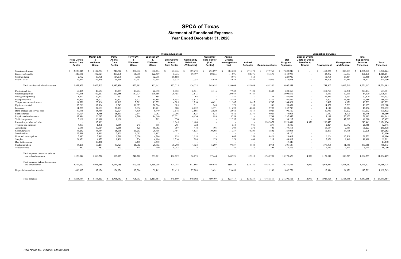### **Statement of Functional Expenses Year Ended December 31, 2020**

|                                     | <b>Program Expenses</b>                    |                                              |                                          |                                             |                                               |                                                     |                                              |                                                           | <b>Supporting Services</b>                  |                           |                       |                                     |                                                                                        |                    |                                  |                                                                  |                          |
|-------------------------------------|--------------------------------------------|----------------------------------------------|------------------------------------------|---------------------------------------------|-----------------------------------------------|-----------------------------------------------------|----------------------------------------------|-----------------------------------------------------------|---------------------------------------------|---------------------------|-----------------------|-------------------------------------|----------------------------------------------------------------------------------------|--------------------|----------------------------------|------------------------------------------------------------------|--------------------------|
|                                     | Rees-Jones<br><b>Animal Care</b><br>Center | <b>Martin S/N</b><br>&<br>Wellness<br>Clinic | Perry<br>Animal<br>Care<br><b>Center</b> | Perry S/N<br>&<br>Wellness<br><b>Clinic</b> | <b>Spencer S/N</b><br>&<br>Wellness<br>Clinic | <b>Ellis County</b><br>Animal<br><b>Care Center</b> | Community<br><b>Relations</b><br>(Volunteer) | <b>Customer</b><br><b>Care Center</b><br>(Call<br>Center) | Animal<br>Cruelty<br>Investigations<br>Unit | Animal<br><b>Behavior</b> | <b>Communications</b> | Total<br>Program<br><b>Expenses</b> | <b>Special Events</b><br><b>Costs of Direct</b><br><b>Benefits to</b><br><b>Donors</b> | <b>Development</b> | <b>Management</b><br>and General | <b>Total</b><br>Supporting<br><b>Services</b><br><b>Expenses</b> | Total<br><b>Expenses</b> |
| Salaries and wages                  | \$2,325,016                                | 1,512,734                                    | 944,746                                  | 361,046                                     | 606,454                                       | 75,736                                              | 369,273                                      | 293,897                                                   | 385,208                                     | 371,371                   | 377,768               | 7,623,249                           |                                                                                        | 552,936            | 813,939                          | 1,366,875                                                        | 8,990,124                |
| Employee benefits                   | 449,161                                    | 382,124                                      | 209,078                                  | 56,098                                      | 122,489                                       | 5,736                                               | 59,497                                       | 50,665                                                    | 41,096                                      | 82,376                    | 85,676                | 1,543,996                           |                                                                                        | 103,362            | 167,833                          | 271,195                                                          | 1,815,191                |
| Contract labor                      | 2,702                                      | 10,706                                       | 114,076                                  | 7,895                                       | 32,998                                        | 50,668                                              |                                              |                                                           | 4.075                                       | 860                       |                       | 223,980                             |                                                                                        | 51,996             | 18,454                           | 70,450                                                           | 294,430                  |
| Payroll taxes                       | 177,044                                    | 116,999                                      | 69,930                                   | 27,952                                      | 43,504                                        | 5,375                                               | 27,758                                       | 24,070                                                    | 28,629                                      | 27,431                    | 27,936                | 576,628                             |                                                                                        | 35,608             | 12,514                           | 48,122                                                           | 624,750                  |
| Total salaries and related expenses | 2,953,923                                  | 2,022,563                                    | 1,337,830                                | 452,991                                     | 805,445                                       | 137,515                                             | 456,528                                      | 368,632                                                   | 459,008                                     | 482.038                   | 491.380               | 9.967.853                           |                                                                                        | 743,902            | 1,012,740                        | 1,756,642                                                        | 11,724,495               |
| Professional fees                   | 69,476                                     | 49,664                                       | 27,957                                   | 13,774                                      | 22,090                                        | 8,052                                               | 6,531                                        | 5,116                                                     | 7,943                                       | 7,121                     | 10,643                | 228,367                             |                                                                                        | 311,798            | 67,386                           | 379,184                                                          | 607,551                  |
| Operating supplies                  | 779,445                                    | 582,217                                      | 220,656                                  | 147,774                                     | 290,656                                       | 28,455                                              | 2,613                                        | $\overline{\phantom{a}}$                                  | 29,669                                      | 9,147                     | $\sim$                | 2,090,632                           |                                                                                        | 2,640              | 12,039                           | 14,679                                                           | 2,105,311                |
| Postage and printing                | 1,022                                      | 60,497                                       | 632                                      | 55                                          | 188                                           | $\sim$                                              | 64                                           | $\sim$                                                    | 151                                         | $\sim$                    | 24                    | 62,633                              |                                                                                        | 61,439             | 6,061                            | 67,500                                                           | 130,133                  |
| Occupancy costs                     | 144,963                                    | 18,707                                       | 57,372                                   | 5,973                                       | 15,188                                        | 6,158                                               | 5,812                                        | 773                                                       | 5,144                                       |                           | 2,372                 | 262,462                             |                                                                                        | 2,902              | 23,584                           | 26,486                                                           | 288,948                  |
| Telephone/communications            | 14,539                                     | 25,366                                       | 11,362                                   | 7,385                                       | 15,372                                        | 4,385                                               | 1,250                                        | 6,621                                                     | 11,367                                      | 3,417                     | 3,765                 | 104,829                             |                                                                                        | 6,482              | 4,021                            | 10,503                                                           | 115,332                  |
| Equipment rental                    | 35,299                                     | 12,384                                       | 8,243                                    | 11,679                                      | 20,384                                        | 885                                                 | 311                                          | 243                                                       | 378                                         | 339                       | 506                   | 90,651                              |                                                                                        | 14,832             | 3,205                            | 18,037                                                           | 108,688                  |
| Insurance                           | 111,256                                    | 34,101                                       | 36,901                                   | 7,096                                       | 13,461                                        | 780                                                 | 6,252                                        | 3,371                                                     | 31,693                                      | 4.880                     | 2,995                 | 252,786                             |                                                                                        | 4,142              | 12,024                           | 16,166                                                           | 268,952                  |
| Bank charges and service fees       | 30,336                                     | 15,969                                       | 12,024                                   | 4,430                                       | 8,440                                         | 3,178                                               | 2,603                                        | 2,820                                                     | 2,960                                       | 3,517                     | 4,023                 | 90,300                              |                                                                                        | 80,940             | 19,292                           | 100,232                                                          | 190,532                  |
| Staff expenses                      | 14,124                                     | 5,586                                        | 18,431                                   | 2,444                                       | 3,283                                         | 3,206                                               | 7,825                                        | 833                                                       | 7,882                                       | 2,377                     | 9,023                 | 75,014                              |                                                                                        | 9,637              | 1,709                            | 11,346                                                           | 86,360                   |
| Repairs and maintenance             | 167,984                                    | 26,282                                       | 31,678                                   | 4,290                                       | 14,660                                        | 77,071                                              | 6,636                                        | 883                                                       | 5,759                                       |                           | 2,709                 | 337,952                             |                                                                                        | 3,141              | 55,052                           | 58,193                                                           | 396,145                  |
| Vehicle expenses                    | 5,168                                      | 10,698                                       | 8,108                                    | $\sim$                                      | 792                                           | 576                                                 | $\sim$                                       | $\sim$                                                    | 12,757                                      | 380                       | 738                   | 39,217                              | $\sim$                                                                                 | 918                | 47,292                           | 48,210                                                           | 87,427                   |
| Promotion, exhibit and other        | $\overline{\phantom{a}}$                   | 15,885                                       |                                          | $\sim$                                      | $\sim$                                        | 1,045                                               | 1,688                                        | $\sim$                                                    | $\sim$                                      | $\sim$                    | 5,902,073             | 5,920,691                           | 14,970                                                                                 | 200,475            | $\sim$ $-$                       | 215,445                                                          | 6,136,136                |
| Training and seminars               | 4,493                                      | 1,475                                        | 1,169                                    | 245                                         | 598                                           | 295                                                 | 332                                          | $\overline{\phantom{a}}$                                  | 550                                         | 946                       | 277                   | 10.380                              |                                                                                        | 2,224              | 19,742                           | 21,966                                                           | 32,346                   |
| Advertising                         | 2,648                                      | 87,114                                       | 1,066                                    | 525                                         | 86,062                                        | 307                                                 | 418                                          | 195                                                       | 303                                         | 271                       | 406                   | 179,315                             |                                                                                        | 68,654             | 2,569                            | 71,223                                                           | 250,538                  |
| Computer costs                      | 53,282                                     | 38,544                                       | 18,138                                   | 10,203                                      | 20,406                                        | 3,401                                               | 4,535                                        | 10,203                                                    | 11,337                                      | 10,203                    | 6,802                 | 187,054                             |                                                                                        | 12,470             | 14,738                           | 27,208                                                           | 214,262                  |
| Merchandise                         | 22,518                                     | 1,811                                        | 7,951                                    | 1,013                                       | 1,807                                         | $\sim$                                              | $\sim$                                       |                                                           | $\sim$                                      |                           |                       | 35,100                              |                                                                                        | $\sim$             |                                  | $\sim$                                                           | 35,100                   |
| Dues and subscriptions              | 5,090                                      | 5,841                                        | 1,718                                    | 2,630                                       | 4,296                                         | 138                                                 | 1,158                                        | $\sim$                                                    | 1,065                                       | 256                       | 4,421                 | 26,613                              |                                                                                        | 6,204              | 15,369                           | 21,573                                                           | 48,186                   |
| Supplies                            | 24,056                                     | 4,873                                        | 9,409                                    | 356                                         | 6,886                                         | 1,756                                               | 298                                          | 179                                                       | 1,379                                       | 408                       | 213                   | 49,813                              |                                                                                        | 2,058              | 9,440                            | 11,498                                                           | 61,311                   |
| Bad debt expense                    |                                            | 10,468                                       |                                          | 3,490                                       | 3,490                                         |                                                     |                                              |                                                           |                                             |                           |                       | 17,448                              |                                                                                        |                    |                                  | $\sim$                                                           | 17,448                   |
| Mail solicitation<br>Miscellaneous  | 84,295<br>950                              | 60,257<br>987                                | 33,921<br>393                            | 16,712<br>144                               | 26,802<br>400                                 | 38,298<br>8,743                                     | 7,924<br>25                                  | 6,207                                                     | 9,637<br>752                                | 8,640<br>317              | 12,914<br>95          | 305,607<br>12,806                   |                                                                                        | 378,306<br>2,250   | 81,760<br>2,994                  | 460,066<br>5,244                                                 | 765,673<br>18,050        |
| Total expenses other than salaries  |                                            |                                              |                                          |                                             |                                               |                                                     |                                              |                                                           |                                             |                           |                       |                                     |                                                                                        |                    |                                  |                                                                  |                          |
| and related expenses                | 1,570,944                                  | 1,068,726                                    | 507,129                                  | 240,218                                     | 555,261                                       | 186,729                                             | 56,275                                       | 37,444                                                    | 140,726                                     | 52,219                    | 5,963,999             | 10,379,670                          | 14,970                                                                                 | 1,171,512          | 398,277                          | 1,584,759                                                        | 11,964,429               |
| Total expenses before depreciation  |                                            |                                              |                                          |                                             |                                               |                                                     |                                              |                                                           |                                             |                           |                       |                                     |                                                                                        |                    |                                  |                                                                  |                          |
| and amortization                    | 4,524,867                                  | 3,091,289                                    | 1,844,959                                | 693,209                                     | 1,360,706                                     | 324,244                                             | 512,803                                      | 406,076                                                   | 599,734                                     | 534,257                   | 6,455,379             | 20,347,523                          | 14,970                                                                                 | 1,915,414          | 1,411,017                        | 3,341,401                                                        | 23,688,924               |
| Depreciation and amortization       | 680,687                                    | 87,124                                       | 124,024                                  | 12,584                                      | 51,161                                        | 21,455                                              | 27,289                                       | 3,631                                                     | 23,683                                      |                           | 11,140                | 1,042,778                           |                                                                                        | 12,914             | 104,871                          | 117,785                                                          | 1,160,563                |
| Total expenses                      | 5,205,554                                  | $\frac{1}{2}$ 3,178,413                      | \$ 1,968,983                             | 705,793<br>- S                              | \$1,411,867                                   | 345,699<br>- S                                      | 540,092<br>-S                                | 409,707<br>- S                                            | 623,417<br>- S                              | 534,257<br>- S            | \$ 6,466,519          | \$ 21,390,301                       | 14,970<br>- S -                                                                        | 1,928,328<br>- S   | \$1,515,888                      | \$3,459,186                                                      | \$24,849,487             |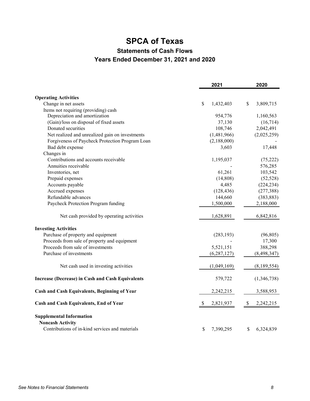### **Statements of Cash Flows Years Ended December 31, 2021 and 2020**

|                                                            | 2021            | 2020             |
|------------------------------------------------------------|-----------------|------------------|
| <b>Operating Activities</b>                                |                 |                  |
| Change in net assets                                       | \$<br>1,432,403 | 3,809,715<br>\$. |
| Items not requiring (providing) cash                       |                 |                  |
| Depreciation and amortization                              | 954,776         | 1,160,563        |
| (Gain)/loss on disposal of fixed assets                    | 37,130          | (16,714)         |
| Donated securities                                         | 108,746         | 2,042,491        |
| Net realized and unrealized gain on investments            | (1,481,966)     | (2,025,259)      |
| Forgiveness of Paycheck Protection Program Loan            | (2,188,000)     |                  |
| Bad debt expense                                           | 3,603           | 17,448           |
| Changes in                                                 |                 |                  |
| Contributions and accounts receivable                      | 1,195,037       | (75, 222)        |
| Annuities receivable                                       |                 | 576,285          |
| Inventories, net                                           | 61,261          | 103,542          |
| Prepaid expenses                                           | (14,808)        | (52, 528)        |
| Accounts payable                                           | 4,485           | (224, 234)       |
| Accrued expenses                                           | (128, 436)      | (277, 388)       |
| Refundable advances                                        | 144,660         | (383, 883)       |
| Paycheck Protection Program funding                        | 1,500,000       | 2,188,000        |
| Net cash provided by operating activities                  | 1,628,891       | 6,842,816        |
| <b>Investing Activities</b>                                |                 |                  |
| Purchase of property and equipment                         | (283, 193)      | (96, 805)        |
| Proceeds from sale of property and equipment               |                 | 17,300           |
| Proceeds from sale of investments                          | 5,521,151       | 388,298          |
| Purchase of investments                                    | (6, 287, 127)   | (8, 498, 347)    |
| Net cash used in investing activities                      | (1,049,169)     | (8,189,554)      |
| <b>Increase (Decrease) in Cash and Cash Equivalents</b>    | 579,722         | (1,346,738)      |
| Cash and Cash Equivalents, Beginning of Year               | 2,242,215       | 3,588,953        |
| <b>Cash and Cash Equivalents, End of Year</b>              | 2,821,937<br>S. | 2,242,215<br>\$  |
| <b>Supplemental Information</b><br><b>Noncash Activity</b> |                 |                  |
| Contributions of in-kind services and materials            | \$<br>7,390,295 | \$<br>6,324,839  |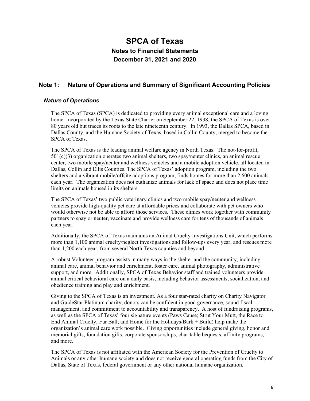### **Note 1: Nature of Operations and Summary of Significant Accounting Policies**

#### *Nature of Operations*

The SPCA of Texas (SPCA) is dedicated to providing every animal exceptional care and a loving home. Incorporated by the Texas State Charter on September 22, 1938, the SPCA of Texas is over 80 years old but traces its roots to the late nineteenth century. In 1993, the Dallas SPCA, based in Dallas County, and the Humane Society of Texas, based in Collin County, merged to become the SPCA of Texas.

The SPCA of Texas is the leading animal welfare agency in North Texas. The not-for-profit, 501(c)(3) organization operates two animal shelters, two spay/neuter clinics, an animal rescue center, two mobile spay/neuter and wellness vehicles and a mobile adoption vehicle, all located in Dallas, Collin and Ellis Counties. The SPCA of Texas' adoption program, including the two shelters and a vibrant mobile/offsite adoptions program, finds homes for more than 2,600 animals each year. The organization does not euthanize animals for lack of space and does not place time limits on animals housed in its shelters.

The SPCA of Texas' two public veterinary clinics and two mobile spay/neuter and wellness vehicles provide high-quality pet care at affordable prices and collaborate with pet owners who would otherwise not be able to afford those services. These clinics work together with community partners to spay or neuter, vaccinate and provide wellness care for tens of thousands of animals each year.

Additionally, the SPCA of Texas maintains an Animal Cruelty Investigations Unit, which performs more than 1,100 animal cruelty/neglect investigations and follow-ups every year, and rescues more than 1,200 each year, from several North Texas counties and beyond.

A robust Volunteer program assists in many ways in the shelter and the community, including animal care, animal behavior and enrichment, foster care, animal photography, administrative support, and more. Additionally, SPCA of Texas Behavior staff and trained volunteers provide animal critical behavioral care on a daily basis, including behavior assessments, socialization, and obedience training and play and enrichment.

Giving to the SPCA of Texas is an investment. As a four star-rated charity on Charity Navigator and GuideStar Platinum charity, donors can be confident in good governance, sound fiscal management, and commitment to accountability and transparency. A host of fundraising programs, as well as the SPCA of Texas' four signature events (Paws Cause; Strut Your Mutt, the Race to End Animal Cruelty; Fur Ball; and Home for the Holidays/Bark + Build) help make the organization's animal care work possible. Giving opportunities include general giving, honor and memorial gifts, foundation gifts, corporate sponsorships, charitable bequests, affinity programs, and more.

The SPCA of Texas is not affiliated with the American Society for the Prevention of Cruelty to Animals or any other humane society and does not receive general operating funds from the City of Dallas, State of Texas, federal government or any other national humane organization.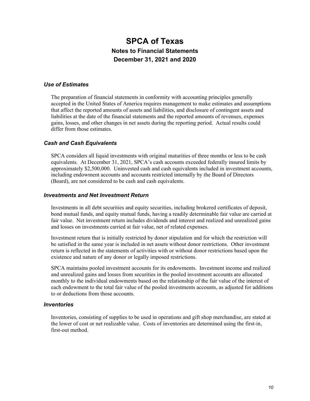#### *Use of Estimates*

The preparation of financial statements in conformity with accounting principles generally accepted in the United States of America requires management to make estimates and assumptions that affect the reported amounts of assets and liabilities, and disclosure of contingent assets and liabilities at the date of the financial statements and the reported amounts of revenues, expenses gains, losses, and other changes in net assets during the reporting period. Actual results could differ from those estimates.

#### *Cash and Cash Equivalents*

SPCA considers all liquid investments with original maturities of three months or less to be cash equivalents. At December 31, 2021, SPCA's cash accounts exceeded federally insured limits by approximately \$2,500,000. Uninvested cash and cash equivalents included in investment accounts, including endowment accounts and accounts restricted internally by the Board of Directors (Board), are not considered to be cash and cash equivalents.

#### *Investments and Net Investment Return*

Investments in all debt securities and equity securities, including brokered certificates of deposit, bond mutual funds, and equity mutual funds, having a readily determinable fair value are carried at fair value. Net investment return includes dividends and interest and realized and unrealized gains and losses on investments carried at fair value, net of related expenses.

Investment return that is initially restricted by donor stipulation and for which the restriction will be satisfied in the same year is included in net assets without donor restrictions. Other investment return is reflected in the statements of activities with or without donor restrictions based upon the existence and nature of any donor or legally imposed restrictions.

SPCA maintains pooled investment accounts for its endowments. Investment income and realized and unrealized gains and losses from securities in the pooled investment accounts are allocated monthly to the individual endowments based on the relationship of the fair value of the interest of each endowment to the total fair value of the pooled investments accounts, as adjusted for additions to or deductions from those accounts.

#### *Inventories*

Inventories, consisting of supplies to be used in operations and gift shop merchandise, are stated at the lower of cost or net realizable value. Costs of inventories are determined using the first-in, first-out method.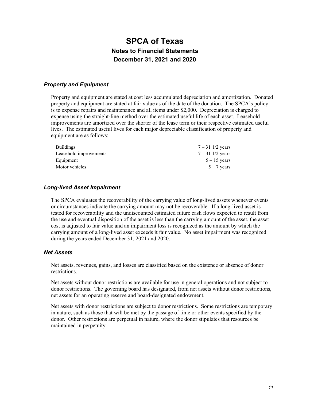#### *Property and Equipment*

Property and equipment are stated at cost less accumulated depreciation and amortization. Donated property and equipment are stated at fair value as of the date of the donation. The SPCA's policy is to expense repairs and maintenance and all items under \$2,000. Depreciation is charged to expense using the straight-line method over the estimated useful life of each asset. Leasehold improvements are amortized over the shorter of the lease term or their respective estimated useful lives. The estimated useful lives for each major depreciable classification of property and equipment are as follows:

| <b>Buildings</b>       | $7 - 31$ 1/2 years |
|------------------------|--------------------|
| Leasehold improvements | $7 - 31$ 1/2 years |
| Equipment              | $5 - 15$ years     |
| Motor vehicles         | $5 - 7$ years      |

#### *Long-lived Asset Impairment*

The SPCA evaluates the recoverability of the carrying value of long-lived assets whenever events or circumstances indicate the carrying amount may not be recoverable. If a long-lived asset is tested for recoverability and the undiscounted estimated future cash flows expected to result from the use and eventual disposition of the asset is less than the carrying amount of the asset, the asset cost is adjusted to fair value and an impairment loss is recognized as the amount by which the carrying amount of a long-lived asset exceeds it fair value. No asset impairment was recognized during the years ended December 31, 2021 and 2020.

#### *Net Assets*

Net assets, revenues, gains, and losses are classified based on the existence or absence of donor restrictions.

Net assets without donor restrictions are available for use in general operations and not subject to donor restrictions. The governing board has designated, from net assets without donor restrictions, net assets for an operating reserve and board-designated endowment.

Net assets with donor restrictions are subject to donor restrictions. Some restrictions are temporary in nature, such as those that will be met by the passage of time or other events specified by the donor. Other restrictions are perpetual in nature, where the donor stipulates that resources be maintained in perpetuity.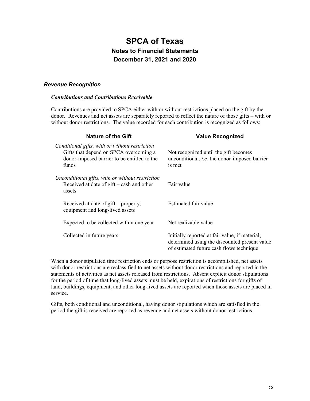#### *Revenue Recognition*

#### *Contributions and Contributions Receivable*

Contributions are provided to SPCA either with or without restrictions placed on the gift by the donor. Revenues and net assets are separately reported to reflect the nature of those gifts – with or without donor restrictions. The value recorded for each contribution is recognized as follows:

| Nature of the Gift                                                                                                                               | <b>Value Recognized</b>                                                                                                                     |
|--------------------------------------------------------------------------------------------------------------------------------------------------|---------------------------------------------------------------------------------------------------------------------------------------------|
| Conditional gifts, with or without restriction<br>Gifts that depend on SPCA overcoming a<br>donor-imposed barrier to be entitled to the<br>funds | Not recognized until the gift becomes<br>unconditional, <i>i.e.</i> the donor-imposed barrier<br>is met                                     |
| Unconditional gifts, with or without restriction<br>Received at date of gift – cash and other<br>assets                                          | Fair value                                                                                                                                  |
| Received at date of $g$ ift – property,<br>equipment and long-lived assets                                                                       | Estimated fair value                                                                                                                        |
| Expected to be collected within one year                                                                                                         | Net realizable value                                                                                                                        |
| Collected in future years                                                                                                                        | Initially reported at fair value, if material,<br>determined using the discounted present value<br>of estimated future cash flows technique |

When a donor stipulated time restriction ends or purpose restriction is accomplished, net assets with donor restrictions are reclassified to net assets without donor restrictions and reported in the statements of activities as net assets released from restrictions. Absent explicit donor stipulations for the period of time that long-lived assets must be held, expirations of restrictions for gifts of land, buildings, equipment, and other long-lived assets are reported when those assets are placed in service.

Gifts, both conditional and unconditional, having donor stipulations which are satisfied in the period the gift is received are reported as revenue and net assets without donor restrictions.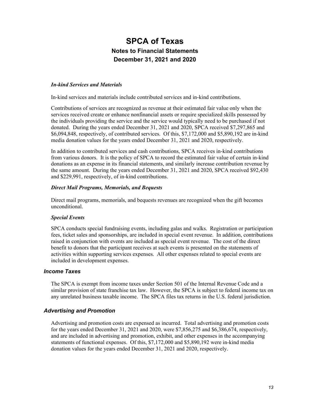#### *In-kind Services and Materials*

In-kind services and materials include contributed services and in-kind contributions.

Contributions of services are recognized as revenue at their estimated fair value only when the services received create or enhance nonfinancial assets or require specialized skills possessed by the individuals providing the service and the service would typically need to be purchased if not donated. During the years ended December 31, 2021 and 2020, SPCA received \$7,297,865 and \$6,094,848, respectively, of contributed services. Of this, \$7,172,000 and \$5,890,192 are in-kind media donation values for the years ended December 31, 2021 and 2020, respectively.

In addition to contributed services and cash contributions, SPCA receives in-kind contributions from various donors. It is the policy of SPCA to record the estimated fair value of certain in-kind donations as an expense in its financial statements, and similarly increase contribution revenue by the same amount. During the years ended December 31, 2021 and 2020, SPCA received \$92,430 and \$229,991, respectively, of in-kind contributions.

#### *Direct Mail Programs, Memorials, and Bequests*

Direct mail programs, memorials, and bequests revenues are recognized when the gift becomes unconditional.

#### *Special Events*

SPCA conducts special fundraising events, including galas and walks. Registration or participation fees, ticket sales and sponsorships, are included in special event revenue. In addition, contributions raised in conjunction with events are included as special event revenue. The cost of the direct benefit to donors that the participant receives at such events is presented on the statements of activities within supporting services expenses. All other expenses related to special events are included in development expenses.

#### *Income Taxes*

The SPCA is exempt from income taxes under Section 501 of the Internal Revenue Code and a similar provision of state franchise tax law. However, the SPCA is subject to federal income tax on any unrelated business taxable income. The SPCA files tax returns in the U.S. federal jurisdiction.

#### *Advertising and Promotion*

Advertising and promotion costs are expensed as incurred. Total advertising and promotion costs for the years ended December 31, 2021 and 2020, were \$7,856,275 and \$6,386,674, respectively, and are included in advertising and promotion, exhibit, and other expenses in the accompanying statements of functional expenses. Of this, \$7,172,000 and \$5,890,192 were in-kind media donation values for the years ended December 31, 2021 and 2020, respectively.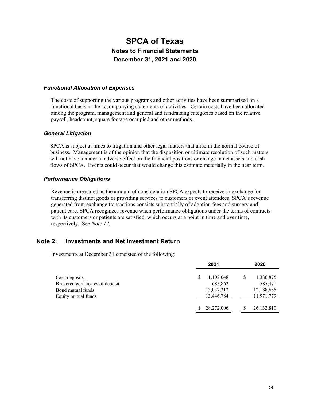#### *Functional Allocation of Expenses*

The costs of supporting the various programs and other activities have been summarized on a functional basis in the accompanying statements of activities. Certain costs have been allocated among the program, management and general and fundraising categories based on the relative payroll, headcount, square footage occupied and other methods.

#### *General Litigation*

SPCA is subject at times to litigation and other legal matters that arise in the normal course of business. Management is of the opinion that the disposition or ultimate resolution of such matters will not have a material adverse effect on the financial positions or change in net assets and cash flows of SPCA. Events could occur that would change this estimate materially in the near term.

#### *Performance Obligations*

Revenue is measured as the amount of consideration SPCA expects to receive in exchange for transferring distinct goods or providing services to customers or event attendees. SPCA's revenue generated from exchange transactions consists substantially of adoption fees and surgery and patient care. SPCA recognizes revenue when performance obligations under the terms of contracts with its customers or patients are satisfied, which occurs at a point in time and over time, respectively. See *Note 12.* 

### **Note 2: Investments and Net Investment Return**

Investments at December 31 consisted of the following:

|                                  | 2021            | 2020            |
|----------------------------------|-----------------|-----------------|
| Cash deposits                    | \$<br>1,102,048 | \$<br>1,386,875 |
| Brokered certificates of deposit | 685,862         | 585,471         |
| Bond mutual funds                | 13,037,312      | 12,188,685      |
| Equity mutual funds              | 13,446,784      | 11,971,779      |
|                                  | 28,272,006      | 26,132,810      |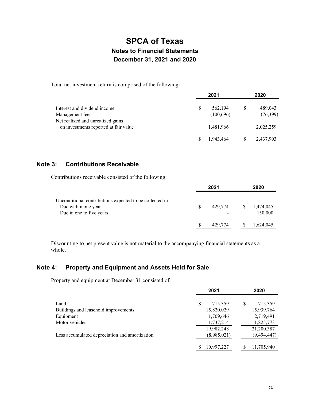Total net investment return is comprised of the following:

|                                                                            | 2021 |           |  | 2020      |  |  |
|----------------------------------------------------------------------------|------|-----------|--|-----------|--|--|
| Interest and dividend income                                               | S    | 562,194   |  | 489,043   |  |  |
| Management fees                                                            |      | (100,696) |  | (76, 399) |  |  |
| Net realized and unrealized gains<br>on investments reported at fair value |      | 1,481,966 |  | 2,025,259 |  |  |
|                                                                            |      | 1,943,464 |  | 2,437,903 |  |  |

### **Note 3: Contributions Receivable**

Contributions receivable consisted of the following:

|                                                                                                            | 2021    |              | 2020                 |
|------------------------------------------------------------------------------------------------------------|---------|--------------|----------------------|
| Unconditional contributions expected to be collected in<br>Due within one year<br>Due in one to five years | 429,774 | <sup>S</sup> | 1,474,045<br>150,000 |
|                                                                                                            | 429,774 |              | 1,624,045            |

Discounting to net present value is not material to the accompanying financial statements as a whole.

### **Note 4: Property and Equipment and Assets Held for Sale**

Property and equipment at December 31 consisted of:

|                                                | 2021          |   | 2020          |
|------------------------------------------------|---------------|---|---------------|
| Land                                           | \$<br>715,359 | S | 715,359       |
| Buildings and leasehold improvements           | 15,820,029    |   | 15,939,764    |
| Equipment                                      | 1,709,646     |   | 2,719,491     |
| Motor vehicles                                 | 1,737,214     |   | 1,825,773     |
|                                                | 19,982,248    |   | 21,200,387    |
| Less accumulated depreciation and amortization | (8,985,021)   |   | (9, 494, 447) |
|                                                | 10,997,227    |   | 11,705,940    |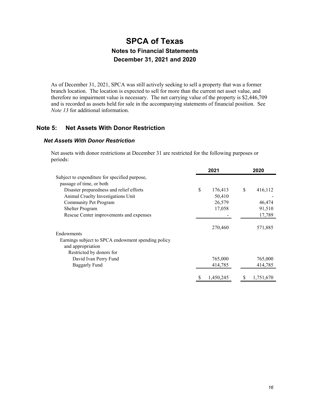As of December 31, 2021, SPCA was still actively seeking to sell a property that was a former branch location. The location is expected to sell for more than the current net asset value, and therefore no impairment value is necessary. The net carrying value of the property is \$2,446,709 and is recorded as assets held for sale in the accompanying statements of financial position. See *Note 13* for additional information.

### **Note 5: Net Assets With Donor Restriction**

#### *Net Assets With Donor Restriction*

Net assets with donor restrictions at December 31 are restricted for the following purposes or periods:

|                                                    | 2021 |           | 2020 |           |
|----------------------------------------------------|------|-----------|------|-----------|
| Subject to expenditure for specified purpose,      |      |           |      |           |
| passage of time, or both                           |      |           |      |           |
| Disaster preparedness and relief efforts           | \$   | 176,413   | \$   | 416,112   |
| Animal Cruelty Investigations Unit                 |      | 50,410    |      |           |
| <b>Community Pet Program</b>                       |      | 26,579    |      | 46,474    |
| <b>Shelter Program</b>                             |      | 17,058    |      | 91,510    |
| Rescue Center improvements and expenses            |      |           |      | 17,789    |
|                                                    |      | 270,460   |      | 571,885   |
| Endowments                                         |      |           |      |           |
| Earnings subject to SPCA endowment spending policy |      |           |      |           |
| and appropriation                                  |      |           |      |           |
| Restricted by donors for                           |      |           |      |           |
| David Ivan Perry Fund                              |      | 765,000   |      | 765,000   |
| <b>Baggarly Fund</b>                               |      | 414,785   |      | 414,785   |
|                                                    |      | 1,450,245 |      | 1,751,670 |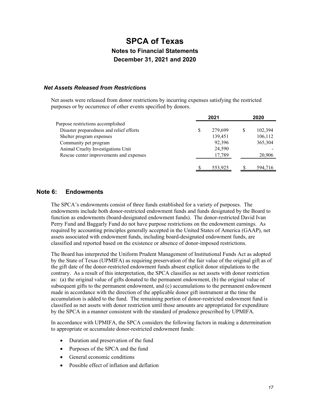#### *Net Assets Released from Restrictions*

Net assets were released from donor restrictions by incurring expenses satisfying the restricted purposes or by occurrence of other events specified by donors.

|                                          |   | 2021    | 2020    |
|------------------------------------------|---|---------|---------|
| Purpose restrictions accomplished        |   |         |         |
| Disaster preparedness and relief efforts | S | 279,699 | 102,394 |
| Shelter program expenses                 |   | 139,451 | 106,112 |
| Community pet program                    |   | 92,396  | 365,304 |
| Animal Cruelty Investigations Unit       |   | 24,590  |         |
| Rescue center improvements and expenses  |   | 17,789  | 20,906  |
|                                          |   |         |         |
|                                          |   | 553,925 | 594,716 |

### **Note 6: Endowments**

The SPCA's endowments consist of three funds established for a variety of purposes. The endowments include both donor-restricted endowment funds and funds designated by the Board to function as endowments (board-designated endowment funds). The donor-restricted David Ivan Perry Fund and Baggarly Fund do not have purpose restrictions on the endowment earnings. As required by accounting principles generally accepted in the United States of America (GAAP), net assets associated with endowment funds, including board-designated endowment funds, are classified and reported based on the existence or absence of donor-imposed restrictions.

The Board has interpreted the Uniform Prudent Management of Institutional Funds Act as adopted by the State of Texas (UPMIFA) as requiring preservation of the fair value of the original gift as of the gift date of the donor-restricted endowment funds absent explicit donor stipulations to the contrary. As a result of this interpretation, the SPCA classifies as net assets with donor restriction as: (a) the original value of gifts donated to the permanent endowment, (b) the original value of subsequent gifts to the permanent endowment, and (c) accumulations to the permanent endowment made in accordance with the direction of the applicable donor gift instrument at the time the accumulation is added to the fund. The remaining portion of donor-restricted endowment fund is classified as net assets with donor restriction until those amounts are appropriated for expenditure by the SPCA in a manner consistent with the standard of prudence prescribed by UPMIFA.

In accordance with UPMIFA, the SPCA considers the following factors in making a determination to appropriate or accumulate donor-restricted endowment funds:

- Duration and preservation of the fund
- Purposes of the SPCA and the fund
- General economic conditions
- Possible effect of inflation and deflation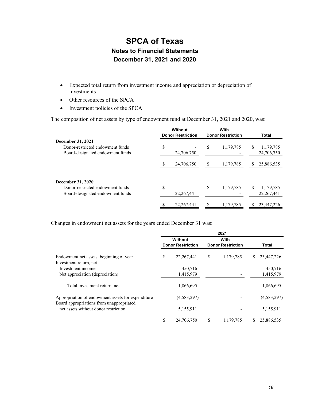- Expected total return from investment income and appreciation or depreciation of investments
- Other resources of the SPCA
- Investment policies of the SPCA

The composition of net assets by type of endowment fund at December 31, 2021 and 2020, was:

|                                  |    | <b>Without</b><br><b>Donor Restriction</b> |    | With<br><b>Donor Restriction</b> |    | Total        |
|----------------------------------|----|--------------------------------------------|----|----------------------------------|----|--------------|
| December 31, 2021                |    |                                            |    |                                  |    |              |
| Donor-restricted endowment funds | \$ |                                            | \$ | 1,179,785                        | S  | 1,179,785    |
| Board-designated endowment funds |    | 24,706,750                                 |    |                                  |    | 24,706,750   |
|                                  |    | 24,706,750                                 | S  | 1,179,785                        | S. | 25,886,535   |
|                                  |    |                                            |    |                                  |    |              |
| December 31, 2020                |    |                                            |    |                                  |    |              |
| Donor-restricted endowment funds | S  |                                            | S  | 1,179,785                        | S  | 1,179,785    |
| Board-designated endowment funds |    | 22, 267, 441                               |    |                                  |    | 22, 267, 441 |
|                                  |    | 22, 267, 441                               | S  | 1,179,785                        |    | 23,447,226   |

Changes in endowment net assets for the years ended December 31 was:

|                                                                                               | 2021                                |              |    |                                  |  |             |
|-----------------------------------------------------------------------------------------------|-------------------------------------|--------------|----|----------------------------------|--|-------------|
|                                                                                               | Without<br><b>Donor Restriction</b> |              |    | With<br><b>Donor Restriction</b> |  | Total       |
| Endowment net assets, beginning of year                                                       | \$                                  | 22, 267, 441 | \$ | 1,179,785                        |  | 23,447,226  |
| Investment return, net<br>Investment income                                                   |                                     | 450,716      |    |                                  |  | 450,716     |
| Net appreciation (depreciation)                                                               |                                     | 1,415,979    |    |                                  |  | 1,415,979   |
| Total investment return, net                                                                  |                                     | 1,866,695    |    |                                  |  | 1,866,695   |
| Appropriation of endowment assets for expenditure<br>Board appropriations from unappropriated |                                     | (4,583,297)  |    |                                  |  | (4,583,297) |
| net assets without donor restriction                                                          |                                     | 5,155,911    |    |                                  |  | 5,155,911   |
|                                                                                               | \$                                  | 24,706,750   | \$ | 1,179,785                        |  | 25,886,535  |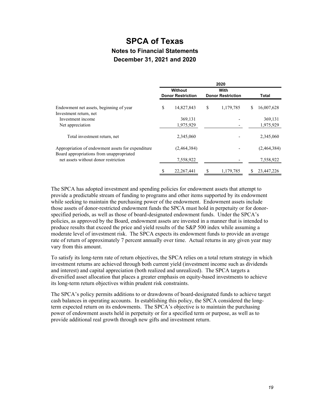|                                                                                               | 2020 |                                            |    |                                  |   |             |
|-----------------------------------------------------------------------------------------------|------|--------------------------------------------|----|----------------------------------|---|-------------|
|                                                                                               |      | <b>Without</b><br><b>Donor Restriction</b> |    | With<br><b>Donor Restriction</b> |   | Total       |
| Endowment net assets, beginning of year                                                       | \$   | 14,827,843                                 | \$ | 1,179,785                        | S | 16,007,628  |
| Investment return, net<br>Investment income                                                   |      | 369,131                                    |    |                                  |   | 369,131     |
| Net appreciation                                                                              |      | 1,975,929                                  |    |                                  |   | 1,975,929   |
| Total investment return, net                                                                  |      | 2.345,060                                  |    |                                  |   | 2,345,060   |
| Appropriation of endowment assets for expenditure<br>Board appropriations from unappropriated |      | (2,464,384)                                |    |                                  |   | (2,464,384) |
| net assets without donor restriction                                                          |      | 7,558,922                                  |    |                                  |   | 7,558,922   |
|                                                                                               | S    | 22, 267, 441                               | \$ | 1,179,785                        |   | 23,447,226  |

The SPCA has adopted investment and spending policies for endowment assets that attempt to provide a predictable stream of funding to programs and other items supported by its endowment while seeking to maintain the purchasing power of the endowment. Endowment assets include those assets of donor-restricted endowment funds the SPCA must hold in perpetuity or for donorspecified periods, as well as those of board-designated endowment funds. Under the SPCA's policies, as approved by the Board, endowment assets are invested in a manner that is intended to produce results that exceed the price and yield results of the S&P 500 index while assuming a moderate level of investment risk. The SPCA expects its endowment funds to provide an average rate of return of approximately 7 percent annually over time. Actual returns in any given year may vary from this amount.

To satisfy its long-term rate of return objectives, the SPCA relies on a total return strategy in which investment returns are achieved through both current yield (investment income such as dividends and interest) and capital appreciation (both realized and unrealized). The SPCA targets a diversified asset allocation that places a greater emphasis on equity-based investments to achieve its long-term return objectives within prudent risk constraints.

The SPCA's policy permits additions to or drawdowns of board-designated funds to achieve target cash balances in operating accounts. In establishing this policy, the SPCA considered the longterm expected return on its endowments. The SPCA's objective is to maintain the purchasing power of endowment assets held in perpetuity or for a specified term or purpose, as well as to provide additional real growth through new gifts and investment return.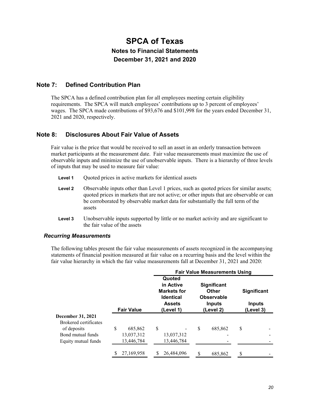### **Note 7: Defined Contribution Plan**

The SPCA has a defined contribution plan for all employees meeting certain eligibility requirements. The SPCA will match employees' contributions up to 3 percent of employees' wages. The SPCA made contributions of \$93,676 and \$101,998 for the years ended December 31, 2021 and 2020, respectively.

#### **Note 8: Disclosures About Fair Value of Assets**

Fair value is the price that would be received to sell an asset in an orderly transaction between market participants at the measurement date. Fair value measurements must maximize the use of observable inputs and minimize the use of unobservable inputs. There is a hierarchy of three levels of inputs that may be used to measure fair value:

- **Level 1** Quoted prices in active markets for identical assets
- **Level 2** Observable inputs other than Level 1 prices, such as quoted prices for similar assets; quoted prices in markets that are not active; or other inputs that are observable or can be corroborated by observable market data for substantially the full term of the assets
- **Level 3** Unobservable inputs supported by little or no market activity and are significant to the fair value of the assets

#### *Recurring Measurements*

The following tables present the fair value measurements of assets recognized in the accompanying statements of financial position measured at fair value on a recurring basis and the level within the fair value hierarchy in which the fair value measurements fall at December 31, 2021 and 2020:

|                                            |    |                   | <b>Fair Value Measurements Using</b>                                                        |            |                                                                                |         |                                                  |  |
|--------------------------------------------|----|-------------------|---------------------------------------------------------------------------------------------|------------|--------------------------------------------------------------------------------|---------|--------------------------------------------------|--|
|                                            |    | <b>Fair Value</b> | Quoted<br>in Active<br><b>Markets for</b><br><b>Identical</b><br><b>Assets</b><br>(Level 1) |            | <b>Significant</b><br>Other<br><b>Observable</b><br><b>Inputs</b><br>(Level 2) |         | <b>Significant</b><br><b>Inputs</b><br>(Level 3) |  |
| December 31, 2021<br>Brokered certificates |    |                   |                                                                                             |            |                                                                                |         |                                                  |  |
| of deposits                                | \$ | 685,862           | \$                                                                                          |            | \$                                                                             | 685,862 | \$                                               |  |
| Bond mutual funds                          |    | 13,037,312        |                                                                                             | 13,037,312 |                                                                                |         |                                                  |  |
| Equity mutual funds                        |    | 13,446,784        |                                                                                             | 13,446,784 |                                                                                |         |                                                  |  |
|                                            |    | 27,169,958        |                                                                                             | 26,484,096 |                                                                                | 685,862 |                                                  |  |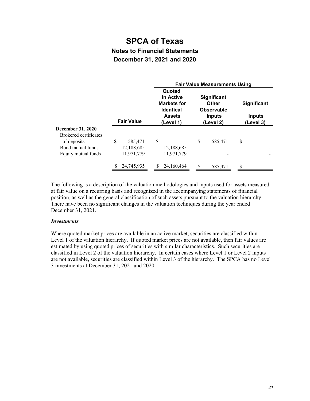|                                                                  |                          | <b>Fair Value Measurements Using</b> |                                                                                             |    |                                                                                       |    |                                                  |  |
|------------------------------------------------------------------|--------------------------|--------------------------------------|---------------------------------------------------------------------------------------------|----|---------------------------------------------------------------------------------------|----|--------------------------------------------------|--|
|                                                                  | <b>Fair Value</b>        |                                      | Quoted<br>in Active<br><b>Markets for</b><br><b>Identical</b><br><b>Assets</b><br>(Level 1) |    | <b>Significant</b><br><b>Other</b><br><b>Observable</b><br><b>Inputs</b><br>(Level 2) |    | <b>Significant</b><br><b>Inputs</b><br>(Level 3) |  |
| <b>December 31, 2020</b><br>Brokered certificates<br>of deposits | \$<br>585,471            | <sup>\$</sup>                        |                                                                                             | \$ | 585,471                                                                               | \$ |                                                  |  |
| Bond mutual funds<br>Equity mutual funds                         | 12,188,685<br>11,971,779 |                                      | 12,188,685<br>11,971,779                                                                    |    |                                                                                       |    |                                                  |  |
|                                                                  | 24,745,935               |                                      | 24,160,464                                                                                  |    | 585,471                                                                               |    |                                                  |  |

The following is a description of the valuation methodologies and inputs used for assets measured at fair value on a recurring basis and recognized in the accompanying statements of financial position, as well as the general classification of such assets pursuant to the valuation hierarchy. There have been no significant changes in the valuation techniques during the year ended December 31, 2021.

#### *Investments*

Where quoted market prices are available in an active market, securities are classified within Level 1 of the valuation hierarchy. If quoted market prices are not available, then fair values are estimated by using quoted prices of securities with similar characteristics. Such securities are classified in Level 2 of the valuation hierarchy. In certain cases where Level 1 or Level 2 inputs are not available, securities are classified within Level 3 of the hierarchy. The SPCA has no Level 3 investments at December 31, 2021 and 2020.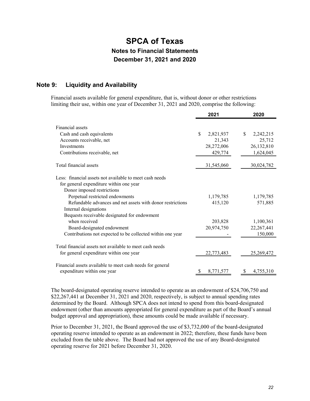### **Note 9: Liquidity and Availability**

Financial assets available for general expenditure, that is, without donor or other restrictions limiting their use, within one year of December 31, 2021 and 2020, comprise the following:

|                                                            | 2021            | 2020                      |
|------------------------------------------------------------|-----------------|---------------------------|
|                                                            |                 |                           |
| Financial assets                                           |                 |                           |
| Cash and cash equivalents                                  | \$<br>2,821,937 | \$<br>2,242,215           |
| Accounts receivable, net                                   | 21,343          | 25,712                    |
| Investments                                                | 28,272,006      | 26,132,810                |
| Contributions receivable, net                              | 429,774         | 1,624,045                 |
| Total financial assets                                     | 31,545,060      | 30,024,782                |
| Less: financial assets not available to meet cash needs    |                 |                           |
| for general expenditure within one year                    |                 |                           |
| Donor imposed restrictions                                 |                 |                           |
| Perpetual restricted endowments                            | 1,179,785       | 1,179,785                 |
| Refundable advances and net assets with donor restrictions | 415,120         | 571,885                   |
| Internal designations                                      |                 |                           |
| Bequests receivable designated for endowment               |                 |                           |
| when received                                              | 203,828         | 1,100,361                 |
| Board-designated endowment                                 | 20,974,750      | 22, 267, 441              |
| Contributions not expected to be collected within one year |                 | 150,000                   |
| Total financial assets not available to meet cash needs    |                 |                           |
|                                                            |                 |                           |
| for general expenditure within one year                    | 22,773,483      | 25,269,472                |
| Financial assets available to meet cash needs for general  |                 |                           |
| expenditure within one year                                | 8,771,577       | 4,755,310<br><sup>S</sup> |

The board-designated operating reserve intended to operate as an endowment of \$24,706,750 and \$22,267,441 at December 31, 2021 and 2020, respectively, is subject to annual spending rates determined by the Board. Although SPCA does not intend to spend from this board-designated endowment (other than amounts appropriated for general expenditure as part of the Board's annual budget approval and appropriation), these amounts could be made available if necessary.

Prior to December 31, 2021, the Board approved the use of \$3,732,000 of the board-designated operating reserve intended to operate as an endowment in 2022; therefore, these funds have been excluded from the table above. The Board had not approved the use of any Board-designated operating reserve for 2021 before December 31, 2020.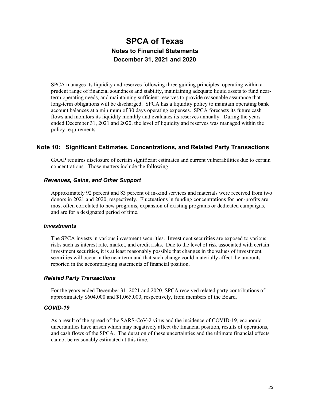SPCA manages its liquidity and reserves following three guiding principles: operating within a prudent range of financial soundness and stability, maintaining adequate liquid assets to fund nearterm operating needs, and maintaining sufficient reserves to provide reasonable assurance that long-term obligations will be discharged. SPCA has a liquidity policy to maintain operating bank account balances at a minimum of 30 days operating expenses. SPCA forecasts its future cash flows and monitors its liquidity monthly and evaluates its reserves annually. During the years ended December 31, 2021 and 2020, the level of liquidity and reserves was managed within the policy requirements.

### **Note 10: Significant Estimates, Concentrations, and Related Party Transactions**

GAAP requires disclosure of certain significant estimates and current vulnerabilities due to certain concentrations. Those matters include the following:

#### *Revenues, Gains, and Other Support*

Approximately 92 percent and 83 percent of in-kind services and materials were received from two donors in 2021 and 2020, respectively. Fluctuations in funding concentrations for non-profits are most often correlated to new programs, expansion of existing programs or dedicated campaigns, and are for a designated period of time.

#### *Investments*

The SPCA invests in various investment securities. Investment securities are exposed to various risks such as interest rate, market, and credit risks. Due to the level of risk associated with certain investment securities, it is at least reasonably possible that changes in the values of investment securities will occur in the near term and that such change could materially affect the amounts reported in the accompanying statements of financial position.

#### *Related Party Transactions*

For the years ended December 31, 2021 and 2020, SPCA received related party contributions of approximately \$604,000 and \$1,065,000, respectively, from members of the Board.

#### *COVID-19*

As a result of the spread of the SARS-CoV-2 virus and the incidence of COVID-19, economic uncertainties have arisen which may negatively affect the financial position, results of operations, and cash flows of the SPCA. The duration of these uncertainties and the ultimate financial effects cannot be reasonably estimated at this time.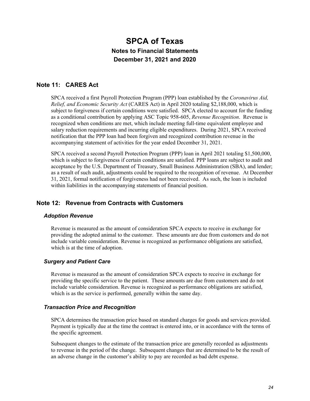### **Note 11: CARES Act**

SPCA received a first Payroll Protection Program (PPP) loan established by the *Coronavirus Aid, Relief, and Economic Security Act* (CARES Act) in April 2020 totaling \$2,188,000, which is subject to forgiveness if certain conditions were satisfied. SPCA elected to account for the funding as a conditional contribution by applying ASC Topic 958-605, *Revenue Recognition*. Revenue is recognized when conditions are met, which include meeting full-time equivalent employee and salary reduction requirements and incurring eligible expenditures. During 2021, SPCA received notification that the PPP loan had been forgiven and recognized contribution revenue in the accompanying statement of activities for the year ended December 31, 2021.

SPCA received a second Payroll Protection Program (PPP) loan in April 2021 totaling \$1,500,000, which is subject to forgiveness if certain conditions are satisfied. PPP loans are subject to audit and acceptance by the U.S. Department of Treasury, Small Business Administration (SBA), and lender; as a result of such audit, adjustments could be required to the recognition of revenue. At December 31, 2021, formal notification of forgiveness had not been received. As such, the loan is included within liabilities in the accompanying statements of financial position.

### **Note 12: Revenue from Contracts with Customers**

#### *Adoption Revenue*

Revenue is measured as the amount of consideration SPCA expects to receive in exchange for providing the adopted animal to the customer. These amounts are due from customers and do not include variable consideration. Revenue is recognized as performance obligations are satisfied, which is at the time of adoption.

#### *Surgery and Patient Care*

Revenue is measured as the amount of consideration SPCA expects to receive in exchange for providing the specific service to the patient. These amounts are due from customers and do not include variable consideration. Revenue is recognized as performance obligations are satisfied, which is as the service is performed, generally within the same day.

#### *Transaction Price and Recognition*

SPCA determines the transaction price based on standard charges for goods and services provided. Payment is typically due at the time the contract is entered into, or in accordance with the terms of the specific agreement.

Subsequent changes to the estimate of the transaction price are generally recorded as adjustments to revenue in the period of the change. Subsequent changes that are determined to be the result of an adverse change in the customer's ability to pay are recorded as bad debt expense.